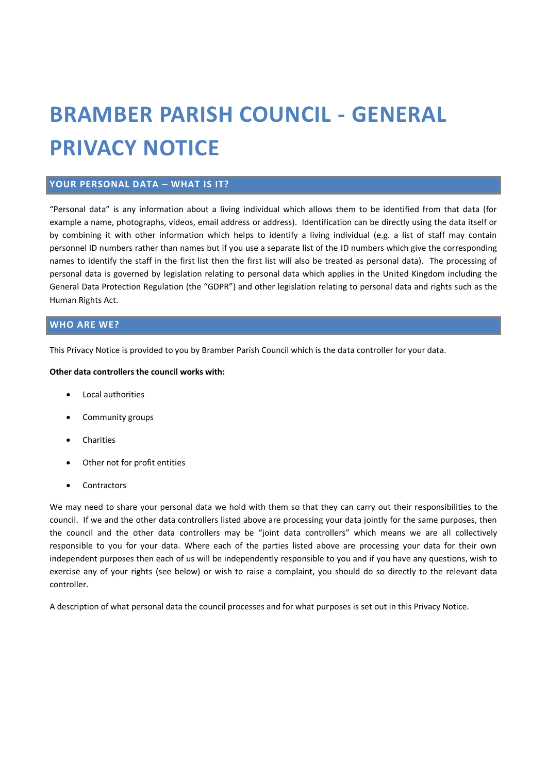# **BRAMBER PARISH COUNCIL - GENERAL PRIVACY NOTICE**

# **YOUR PERSONAL DATA – WHAT IS IT?**

"Personal data" is any information about a living individual which allows them to be identified from that data (for example a name, photographs, videos, email address or address). Identification can be directly using the data itself or by combining it with other information which helps to identify a living individual (e.g. a list of staff may contain personnel ID numbers rather than names but if you use a separate list of the ID numbers which give the corresponding names to identify the staff in the first list then the first list will also be treated as personal data). The processing of personal data is governed by legislation relating to personal data which applies in the United Kingdom including the General Data Protection Regulation (the "GDPR") and other legislation relating to personal data and rights such as the Human Rights Act.

## **WHO ARE WE?**

This Privacy Notice is provided to you by Bramber Parish Council which is the data controller for your data.

#### **Other data controllers the council works with:**

- Local authorities
- Community groups
- Charities
- Other not for profit entities
- **Contractors**

We may need to share your personal data we hold with them so that they can carry out their responsibilities to the council. If we and the other data controllers listed above are processing your data jointly for the same purposes, then the council and the other data controllers may be "joint data controllers" which means we are all collectively responsible to you for your data. Where each of the parties listed above are processing your data for their own independent purposes then each of us will be independently responsible to you and if you have any questions, wish to exercise any of your rights (see below) or wish to raise a complaint, you should do so directly to the relevant data controller.

A description of what personal data the council processes and for what purposes is set out in this Privacy Notice.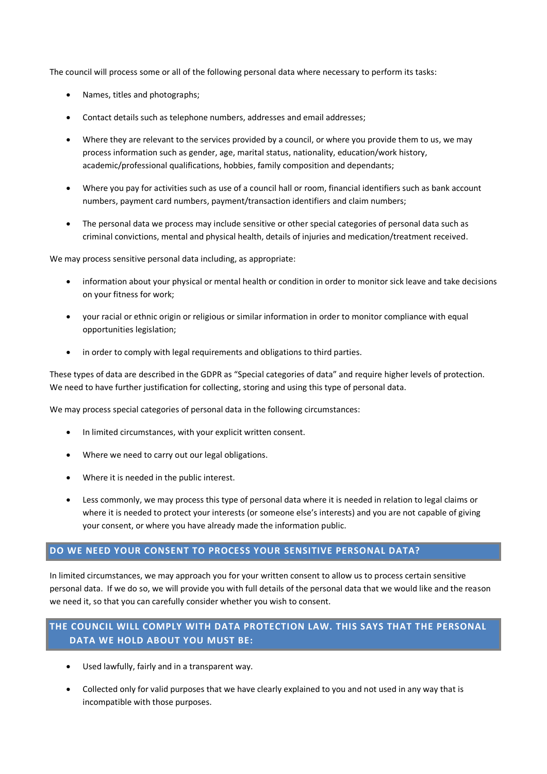The council will process some or all of the following personal data where necessary to perform its tasks:

- Names, titles and photographs;
- Contact details such as telephone numbers, addresses and email addresses;
- Where they are relevant to the services provided by a council, or where you provide them to us, we may process information such as gender, age, marital status, nationality, education/work history, academic/professional qualifications, hobbies, family composition and dependants;
- Where you pay for activities such as use of a council hall or room, financial identifiers such as bank account numbers, payment card numbers, payment/transaction identifiers and claim numbers;
- The personal data we process may include sensitive or other special categories of personal data such as criminal convictions, mental and physical health, details of injuries and medication/treatment received.

We may process sensitive personal data including, as appropriate:

- information about your physical or mental health or condition in order to monitor sick leave and take decisions on your fitness for work;
- your racial or ethnic origin or religious or similar information in order to monitor compliance with equal opportunities legislation;
- in order to comply with legal requirements and obligations to third parties.

These types of data are described in the GDPR as "Special categories of data" and require higher levels of protection. We need to have further justification for collecting, storing and using this type of personal data.

We may process special categories of personal data in the following circumstances:

- In limited circumstances, with your explicit written consent.
- Where we need to carry out our legal obligations.
- Where it is needed in the public interest.
- Less commonly, we may process this type of personal data where it is needed in relation to legal claims or where it is needed to protect your interests (or someone else's interests) and you are not capable of giving your consent, or where you have already made the information public.

# **DO WE NEED YOUR CONSENT TO PROCESS YOUR SENSITIVE PERSONAL DATA?**

In limited circumstances, we may approach you for your written consent to allow us to process certain sensitive personal data. If we do so, we will provide you with full details of the personal data that we would like and the reason we need it, so that you can carefully consider whether you wish to consent.

# **THE COUNCIL WILL COMPLY WITH DATA PROTECTION LAW. THIS SAYS THAT THE PERSONAL DATA WE HOLD ABOUT YOU MUST BE:**

- Used lawfully, fairly and in a transparent way.
- Collected only for valid purposes that we have clearly explained to you and not used in any way that is incompatible with those purposes.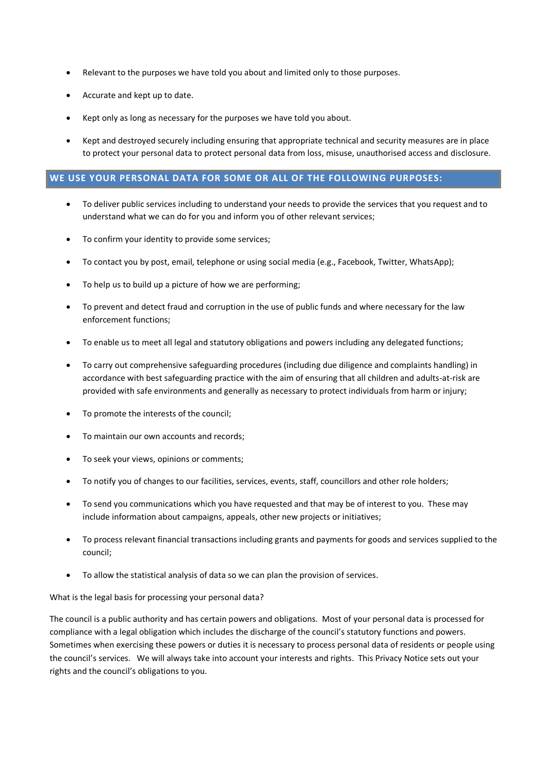- Relevant to the purposes we have told you about and limited only to those purposes.
- Accurate and kept up to date.
- Kept only as long as necessary for the purposes we have told you about.
- Kept and destroyed securely including ensuring that appropriate technical and security measures are in place to protect your personal data to protect personal data from loss, misuse, unauthorised access and disclosure.

#### **WE USE YOUR PERSONAL DATA FOR SOME OR ALL OF THE FOLLOWING PURPOSES:**

- To deliver public services including to understand your needs to provide the services that you request and to understand what we can do for you and inform you of other relevant services;
- To confirm your identity to provide some services;
- To contact you by post, email, telephone or using social media (e.g., Facebook, Twitter, WhatsApp);
- To help us to build up a picture of how we are performing;
- To prevent and detect fraud and corruption in the use of public funds and where necessary for the law enforcement functions;
- To enable us to meet all legal and statutory obligations and powers including any delegated functions;
- To carry out comprehensive safeguarding procedures (including due diligence and complaints handling) in accordance with best safeguarding practice with the aim of ensuring that all children and adults-at-risk are provided with safe environments and generally as necessary to protect individuals from harm or injury;
- To promote the interests of the council;
- To maintain our own accounts and records;
- To seek your views, opinions or comments;
- To notify you of changes to our facilities, services, events, staff, councillors and other role holders;
- To send you communications which you have requested and that may be of interest to you. These may include information about campaigns, appeals, other new projects or initiatives;
- To process relevant financial transactions including grants and payments for goods and services supplied to the council;
- To allow the statistical analysis of data so we can plan the provision of services.

#### What is the legal basis for processing your personal data?

The council is a public authority and has certain powers and obligations. Most of your personal data is processed for compliance with a legal obligation which includes the discharge of the council's statutory functions and powers. Sometimes when exercising these powers or duties it is necessary to process personal data of residents or people using the council's services. We will always take into account your interests and rights. This Privacy Notice sets out your rights and the council's obligations to you.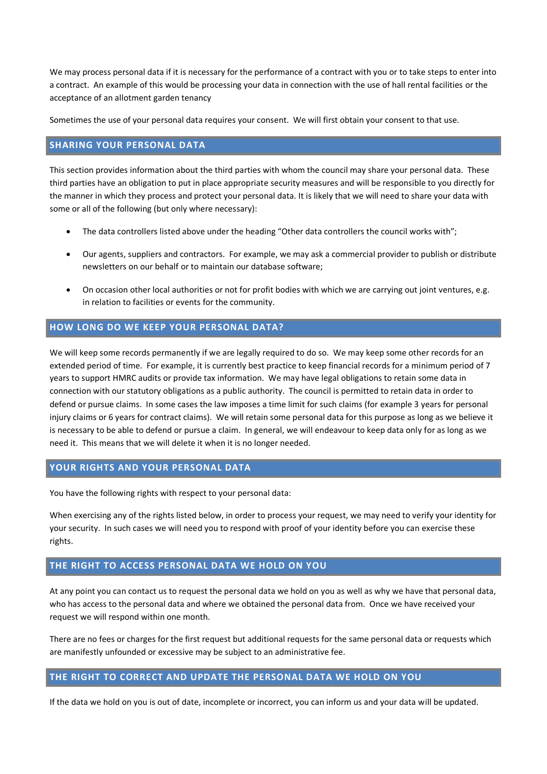We may process personal data if it is necessary for the performance of a contract with you or to take steps to enter into a contract. An example of this would be processing your data in connection with the use of hall rental facilities or the acceptance of an allotment garden tenancy

Sometimes the use of your personal data requires your consent. We will first obtain your consent to that use.

#### **SHARING YOUR PERSONAL DATA**

This section provides information about the third parties with whom the council may share your personal data. These third parties have an obligation to put in place appropriate security measures and will be responsible to you directly for the manner in which they process and protect your personal data. It is likely that we will need to share your data with some or all of the following (but only where necessary):

- The data controllers listed above under the heading "Other data controllers the council works with";
- Our agents, suppliers and contractors. For example, we may ask a commercial provider to publish or distribute newsletters on our behalf or to maintain our database software;
- On occasion other local authorities or not for profit bodies with which we are carrying out joint ventures, e.g. in relation to facilities or events for the community.

## **HOW LONG DO WE KEEP YOUR PERSONAL DATA?**

We will keep some records permanently if we are legally required to do so. We may keep some other records for an extended period of time. For example, it is currently best practice to keep financial records for a minimum period of 7 years to support HMRC audits or provide tax information. We may have legal obligations to retain some data in connection with our statutory obligations as a public authority. The council is permitted to retain data in order to defend or pursue claims. In some cases the law imposes a time limit for such claims (for example 3 years for personal injury claims or 6 years for contract claims). We will retain some personal data for this purpose as long as we believe it is necessary to be able to defend or pursue a claim. In general, we will endeavour to keep data only for as long as we need it. This means that we will delete it when it is no longer needed.

# **YOUR RIGHTS AND YOUR PERSONAL DATA**

You have the following rights with respect to your personal data:

When exercising any of the rights listed below, in order to process your request, we may need to verify your identity for your security. In such cases we will need you to respond with proof of your identity before you can exercise these rights.

# **THE RIGHT TO ACCESS PERSONAL DATA WE HOLD ON YOU**

At any point you can contact us to request the personal data we hold on you as well as why we have that personal data, who has access to the personal data and where we obtained the personal data from. Once we have received your request we will respond within one month.

There are no fees or charges for the first request but additional requests for the same personal data or requests which are manifestly unfounded or excessive may be subject to an administrative fee.

#### **THE RIGHT TO CORRECT AND UPDATE THE PERSONAL DATA WE HOLD ON YOU**

If the data we hold on you is out of date, incomplete or incorrect, you can inform us and your data will be updated.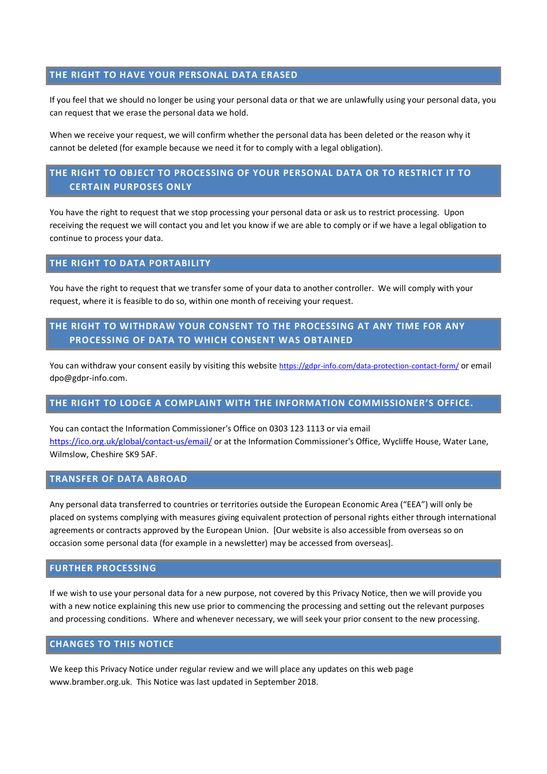#### **THE RIGHT TO HAVE YOUR PERSONAL DATA ERASED**

If you feel that we should no longer be using your personal data or that we are unlawfully using your personal data, you can request that we erase the personal data we hold.

When we receive your request, we will confirm whether the personal data has been deleted or the reason why it cannot be deleted (for example because we need it for to comply with a legal obligation).

# **THE RIGHT TO OBJECT TO PROCESSING OF YOUR PERSONAL DATA OR TO RESTRICT IT TO CERTAIN PURPOSES ONLY**

You have the right to request that we stop processing your personal data or ask us to restrict processing. Upon receiving the request we will contact you and let you know if we are able to comply or if we have a legal obligation to continue to process your data.

## **THE RIGHT TO DATA PORTABILITY**

You have the right to request that we transfer some of your data to another controller. We will comply with your request, where it is feasible to do so, within one month of receiving your request.

# **THE RIGHT TO WITHDRAW YOUR CONSENT TO THE PROCESSING AT ANY TIME FOR ANY PROCESSING OF DATA TO WHICH CONSENT WAS OBTAINED**

You can withdraw your consent easily by visiting this website <https://gdpr-info.com/data-protection-contact-form/> or email dpo@gdpr-info.com.

#### **THE RIGHT TO LODGE A COMPLAINT WITH THE INFORMATION COMMISSIONER'S OFFICE.**

You can contact the Information Commissioner's Office on 0303 123 1113 or via email [https://ico.org.uk/global/contact-us/email/](https://ico.org.uk/global/contact-us/email/%20) or at the Information Commissioner's Office, Wycliffe House, Water Lane, Wilmslow, Cheshire SK9 5AF.

#### **TRANSFER OF DATA ABROAD**

Any personal data transferred to countries or territories outside the European Economic Area ("EEA") will only be placed on systems complying with measures giving equivalent protection of personal rights either through international agreements or contracts approved by the European Union. [Our website is also accessible from overseas so on occasion some personal data (for example in a newsletter) may be accessed from overseas].

#### **FURTHER PROCESSING**

If we wish to use your personal data for a new purpose, not covered by this Privacy Notice, then we will provide you with a new notice explaining this new use prior to commencing the processing and setting out the relevant purposes and processing conditions. Where and whenever necessary, we will seek your prior consent to the new processing.

#### **CHANGES TO THIS NOTICE**

We keep this Privacy Notice under regular review and we will place any updates on this web page www.bramber.org.uk. This Notice was last updated in September 2018.